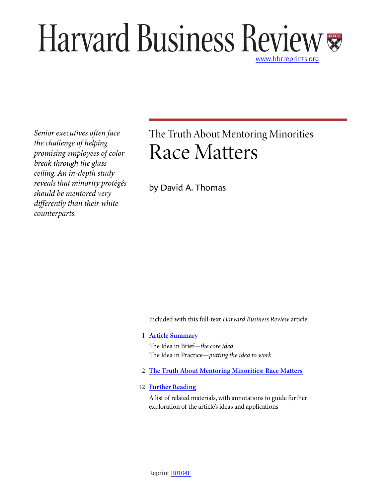# Harvard Business Review [www.hbrreprints.org](http://www.hbrreprints.org)

*Senior executives often face the challenge of helping promising employees of color break through the glass ceiling. An in-depth study reveals that minority protégés should be mentored very differently than their white counterparts.*

## The Truth About Mentoring Minorities Race Matters

by David A. Thomas

Included with this full-text *Harvard Business Review* article:

1 **[Article Summary](#page-1-0)**

The Idea in Brief—*the core idea* The Idea in Practice—*putting the idea to work*

2 **[The Truth About Mentoring Minorities: Race Matters](#page-2-0)**

### 12 **[Further Reading](#page-12-0)**

A list of related materials, with annotations to guide further exploration of the article's ideas and applications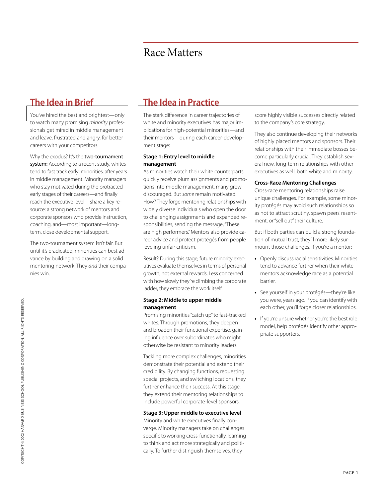## Race Matters

<span id="page-1-0"></span>You've hired the best and brightest—only to watch many promising minority professionals get mired in middle management and leave, frustrated and angry, for better careers with your competitors.

Why the exodus? It's the two-tournament system: According to a recent study, whites tend to fast track early; minorities, after years in middle management. Minority managers who stay motivated during the protracted early stages of their careers—and finally reach the executive level—share a key resource: a strong network of mentors and corporate sponsors who provide instruction, coaching, and—most important—longterm, close developmental support.

The two-tournament system isn't fair. But until it's eradicated, minorities can best advance by building and drawing on a solid mentoring network. They and their companies win.

### **The Idea in Brief The Idea in Practice**

The stark difference in career trajectories of white and minority executives has major implications for high-potential minorities—and their mentors—during each career-development stage:

### **Stage 1: Entry level to middle management**

As minorities watch their white counterparts quickly receive plum assignments and promotions into middle management, many grow discouraged. But some remain motivated. How? They forge mentoring relationships with widely diverse individuals who open the door to challenging assignments and expanded responsibilities, sending the message, "These are high performers." Mentors also provide career advice and protect protégés from people leveling unfair criticism.

Result? During this stage, future minority executives evaluate themselves in terms of personal growth, not external rewards. Less concerned with how slowly they're climbing the corporate ladder, they embrace the work itself.

### **Stage 2: Middle to upper middle management**

Promising minorities "catch up" to fast-tracked whites. Through promotions, they deepen and broaden their functional expertise, gaining influence over subordinates who might otherwise be resistant to minority leaders.

Tackling more complex challenges, minorities demonstrate their potential and extend their credibility. By changing functions, requesting special projects, and switching locations, they further enhance their success. At this stage, they extend their mentoring relationships to include powerful corporate-level sponsors.

### **Stage 3: Upper middle to executive level**

Minority and white executives finally converge. Minority managers take on challenges specific to working cross-functionally, learning to think and act more strategically and politically. To further distinguish themselves, they

score highly visible successes directly related to the company's core strategy.

They also continue developing their networks of highly placed mentors and sponsors. Their relationships with their immediate bosses become particularly crucial. They establish several new, long-term relationships with other executives as well, both white and minority.

#### **Cross-Race Mentoring Challenges**

Cross-race mentoring relationships raise unique challenges. For example, some minority protégés may avoid such relationships so as not to attract scrutiny, spawn peers' resentment, or "sell out" their culture.

But if both parties can build a strong foundation of mutual trust, they'll more likely surmount those challenges. If you're a mentor:

- **•** Openly discuss racial sensitivities. Minorities tend to advance further when their white mentors acknowledge race as a potential barrier.
- **•** See yourself in your protégés—they're like you were, years ago. If you can identify with each other, you'll forge closer relationships.
- **•** If you're unsure whether you're the best role model, help protégés identify other appropriate supporters.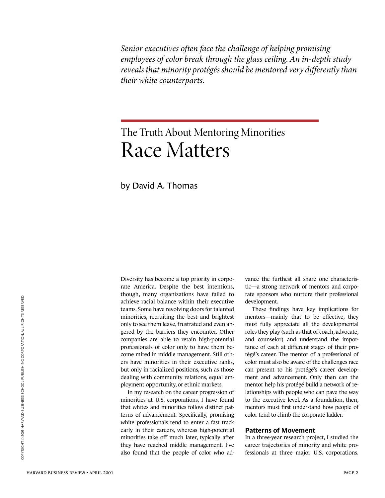*Senior executives often face the challenge of helping promising employees of color break through the glass ceiling. An in-depth study reveals that minority protégés should be mentored very differently than their white counterparts.*

## The Truth About Mentoring Minorities Race Matters

by David A. Thomas

<span id="page-2-0"></span>Diversity has become a top priority in corporate America. Despite the best intentions, though, many organizations have failed to achieve racial balance within their executive teams. Some have revolving doors for talented minorities, recruiting the best and brightest only to see them leave, frustrated and even angered by the barriers they encounter. Other companies are able to retain high-potential professionals of color only to have them become mired in middle management. Still others have minorities in their executive ranks, but only in racialized positions, such as those dealing with community relations, equal employment opportunity, or ethnic markets.

In my research on the career progression of minorities at U.S. corporations, I have found that whites and minorities follow distinct patterns of advancement. Specifically, promising white professionals tend to enter a fast track early in their careers, whereas high-potential minorities take off much later, typically after they have reached middle management. I've also found that the people of color who advance the furthest all share one characteristic—a strong network of mentors and corporate sponsors who nurture their professional development.

These findings have key implications for mentors—mainly that to be effective, they must fully appreciate all the developmental roles they play (such as that of coach, advocate, and counselor) and understand the importance of each at different stages of their protégé's career. The mentor of a professional of color must also be aware of the challenges race can present to his protégé's career development and advancement. Only then can the mentor help his protégé build a network of relationships with people who can pave the way to the executive level. As a foundation, then, mentors must first understand how people of color tend to climb the corporate ladder.

### **Patterns of Movement**

In a three-year research project, I studied the career trajectories of minority and white professionals at three major U.S. corporations.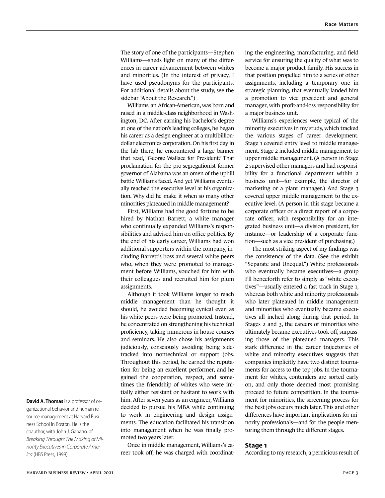The story of one of the participants—Stephen Williams—sheds light on many of the differences in career advancement between whites and minorities. (In the interest of privacy, I have used pseudonyms for the participants. For additional details about the study, see the sidebar "About the Research.")

Williams, an African-American, was born and raised in a middle-class neighborhood in Washington, DC. After earning his bachelor's degree at one of the nation's leading colleges, he began his career as a design engineer at a multibilliondollar electronics corporation. On his first day in the lab there, he encountered a large banner that read, "George Wallace for President." That proclamation for the pro-segregationist former governor of Alabama was an omen of the uphill battle Williams faced. And yet Williams eventually reached the executive level at his organization. Why did he make it when so many other minorities plateaued in middle management?

First, Williams had the good fortune to be hired by Nathan Barrett, a white manager who continually expanded Williams's responsibilities and advised him on office politics. By the end of his early career, Williams had won additional supporters within the company, including Barrett's boss and several white peers who, when they were promoted to management before Williams, vouched for him with their colleagues and recruited him for plum assignments.

Although it took Williams longer to reach middle management than he thought it should, he avoided becoming cynical even as his white peers were being promoted. Instead, he concentrated on strengthening his technical proficiency, taking numerous in-house courses and seminars. He also chose his assignments judiciously, consciously avoiding being sidetracked into nontechnical or support jobs. Throughout this period, he earned the reputation for being an excellent performer, and he gained the cooperation, respect, and sometimes the friendship of whites who were initially either resistant or hesitant to work with him. After seven years as an engineer, Williams decided to pursue his MBA while continuing to work in engineering and design assignments. The education facilitated his transition into management when he was finally promoted two years later.

Once in middle management, Williams's career took off; he was charged with coordinating the engineering, manufacturing, and field service for ensuring the quality of what was to become a major product family. His success in that position propelled him to a series of other assignments, including a temporary one in strategic planning, that eventually landed him a promotion to vice president and general manager, with profit-and-loss responsibility for a major business unit.

Williams's experiences were typical of the minority executives in my study, which tracked the various stages of career development. Stage 1 covered entry level to middle management. Stage 2 included middle management to upper middle management. (A person in Stage 2 supervised other managers and had responsibility for a functional department within a business unit—for example, the director of marketing or a plant manager.) And Stage 3 covered upper middle management to the executive level. (A person in this stage became a corporate officer or a direct report of a corporate officer, with responsibility for an integrated business unit—a division president, for instance—or leadership of a corporate function—such as a vice president of purchasing.)

The most striking aspect of my findings was the consistency of the data. (See the exhibit "Separate and Unequal.") White professionals who eventually became executives—a group I'll henceforth refer to simply as "white executives"—usually entered a fast track in Stage 1, whereas both white and minority professionals who later plateaued in middle management and minorities who eventually became executives all inched along during that period. In Stages 2 and 3, the careers of minorities who ultimately became executives took off, surpassing those of the plateaued managers. This stark difference in the career trajectories of white and minority executives suggests that companies implicitly have two distinct tournaments for access to the top jobs. In the tournament for whites, contenders are sorted early on, and only those deemed most promising proceed to future competition. In the tournament for minorities, the screening process for the best jobs occurs much later. This and other differences have important implications for minority professionals—and for the people mentoring them through the different stages.

#### **Stage 1**

According to my research, a pernicious result of

**David A. Thomas** is a professor of organizational behavior and human resource management at Harvard Business School in Boston. He is the coauthor, with John J. Gabarro, of Breaking Through: The Making of Minority Executives in Corporate America (HBS Press, 1999).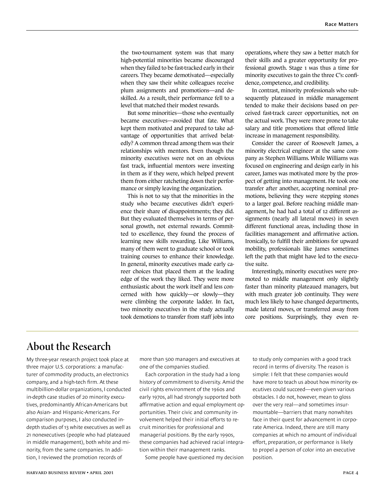the two-tournament system was that many high-potential minorities became discouraged when they failed to be fast-tracked early in their careers. They became demotivated—especially when they saw their white colleagues receive plum assignments and promotions—and deskilled. As a result, their performance fell to a level that matched their modest rewards.

But some minorities—those who eventually became executives—avoided that fate. What kept them motivated and prepared to take advantage of opportunities that arrived belatedly? A common thread among them was their relationships with mentors. Even though the minority executives were not on an obvious fast track, influential mentors were investing in them as if they were, which helped prevent them from either ratcheting down their performance or simply leaving the organization.

This is not to say that the minorities in the study who became executives didn't experience their share of disappointments; they did. But they evaluated themselves in terms of personal growth, not external rewards. Committed to excellence, they found the process of learning new skills rewarding. Like Williams, many of them went to graduate school or took training courses to enhance their knowledge. In general, minority executives made early career choices that placed them at the leading edge of the work they liked. They were more enthusiastic about the work itself and less concerned with how quickly—or slowly—they were climbing the corporate ladder. In fact, two minority executives in the study actually took demotions to transfer from staff jobs into

operations, where they saw a better match for their skills and a greater opportunity for professional growth. Stage 1 was thus a time for minority executives to gain the three C's: confidence, competence, and credibility.

In contrast, minority professionals who subsequently plateaued in middle management tended to make their decisions based on perceived fast-track career opportunities, not on the actual work. They were more prone to take salary and title promotions that offered little increase in management responsibility.

Consider the career of Roosevelt James, a minority electrical engineer at the same company as Stephen Williams. While Williams was focused on engineering and design early in his career, James was motivated more by the prospect of getting into management. He took one transfer after another, accepting nominal promotions, believing they were stepping stones to a larger goal. Before reaching middle management, he had had a total of 12 different assignments (nearly all lateral moves) in seven different functional areas, including those in facilities management and affirmative action. Ironically, to fulfill their ambitions for upward mobility, professionals like James sometimes left the path that might have led to the executive suite.

Interestingly, minority executives were promoted to middle management only slightly faster than minority plateaued managers, but with much greater job continuity. They were much less likely to have changed departments, made lateral moves, or transferred away from core positions. Surprisingly, they even re-

### **About the Research**

My three-year research project took place at three major U.S. corporations: a manufacturer of commodity products, an electronics company, and a high-tech firm. At these multibillion-dollar organizations, I conducted in-depth case studies of 20 minority executives, predominantly African-Americans but also Asian- and Hispanic-Americans. For comparison purposes, I also conducted indepth studies of 13 white executives as well as 21 nonexecutives (people who had plateaued in middle management), both white and minority, from the same companies. In addition, I reviewed the promotion records of

more than 500 managers and executives at one of the companies studied.

Each corporation in the study had a long history of commitment to diversity. Amid the civil rights environment of the 1960s and early 1970s, all had strongly supported both affirmative action and equal employment opportunities. Their civic and community involvement helped their initial efforts to recruit minorities for professional and managerial positions. By the early 1990s, these companies had achieved racial integration within their management ranks.

Some people have questioned my decision

to study only companies with a good track record in terms of diversity. The reason is simple: I felt that these companies would have more to teach us about how minority executives could succeed—even given various obstacles. I do not, however, mean to gloss over the very real—and sometimes insurmountable—barriers that many nonwhites face in their quest for advancement in corporate America. Indeed, there are still many companies at which no amount of individual effort, preparation, or performance is likely to propel a person of color into an executive position.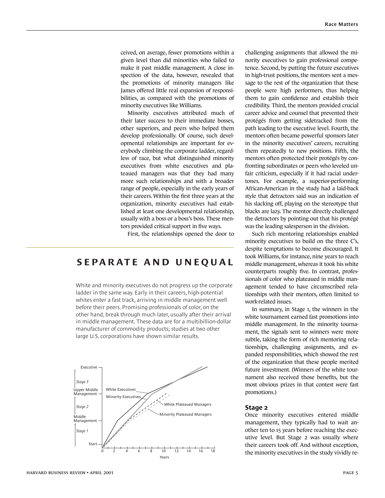ceived, on average, fewer promotions within a given level than did minorities who failed to make it past middle management. A close inspection of the data, however, revealed that the promotions of minority managers like James offered little real expansion of responsibilities, as compared with the promotions of minority executives like Williams.

Minority executives attributed much of their later success to their immediate bosses, other superiors, and peers who helped them develop professionally. Of course, such developmental relationships are important for everybody climbing the corporate ladder, regardless of race, but what distinguished minority executives from white executives and plateaued managers was that they had many more such relationships and with a broader range of people, especially in the early years of their careers. Within the first three years at the organization, minority executives had established at least one developmental relationship, usually with a boss or a boss's boss. These mentors provided critical support in five ways.

First, the relationships opened the door to

### **SEPARATE AND UNEQUAL**

White and minority executives do not progress up the corporate ladder in the same way. Early in their careers, high-potential whites enter a fast track, arriving in middle management well before their peers. Promising professionals of color, on the other hand, break through much later, usually after their arrival in middle management. These data are for a multibillion-dollar manufacturer of commodity products; studies at two other large U.S. corporations have shown similar results.



challenging assignments that allowed the minority executives to gain professional competence. Second, by putting the future executives in high-trust positions, the mentors sent a message to the rest of the organization that these people were high performers, thus helping them to gain confidence and establish their credibility. Third, the mentors provided crucial career advice and counsel that prevented their protégés from getting sidetracked from the path leading to the executive level. Fourth, the mentors often became powerful sponsors later in the minority executives' careers, recruiting them repeatedly to new positions. Fifth, the mentors often protected their protégés by confronting subordinates or peers who leveled unfair criticism, especially if it had racial undertones. For example, a superior-performing African-American in the study had a laid-back style that detractors said was an indication of his slacking off, playing on the stereotype that blacks are lazy. The mentor directly challenged the detractors by pointing out that his protégé was the leading salesperson in the division.

Such rich mentoring relationships enabled minority executives to build on the three C's, despite temptations to become discouraged. It took Williams, for instance, nine years to reach middle management, whereas it took his white counterparts roughly five. In contrast, professionals of color who plateaued in middle management tended to have circumscribed relationships with their mentors, often limited to work-related issues.

In summary, in Stage 1, the winners in the white tournament earned fast promotions into middle management. In the minority tournament, the signals sent to winners were more subtle, taking the form of rich mentoring relationships, challenging assignments, and expanded responsibilities, which showed the rest of the organization that these people merited future investment. (Winners of the white tournament also received those benefits, but the most obvious prizes in that contest were fast promotions.)

#### **Stage 2**

Once minority executives entered middle management, they typically had to wait another ten to 15 years before reaching the executive level. But Stage 2 was usually where their careers took off. And without exception, the minority executives in the study vividly re-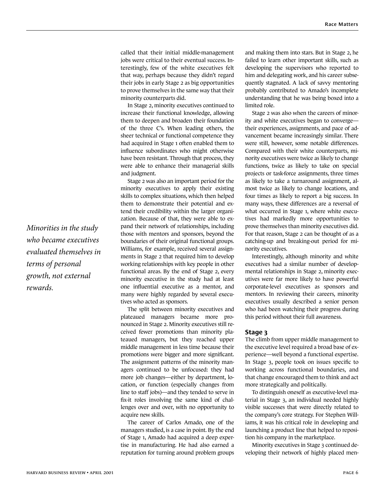called that their initial middle-management jobs were critical to their eventual success. Interestingly, few of the white executives felt that way, perhaps because they didn't regard their jobs in early Stage 2 as big opportunities to prove themselves in the same way that their minority counterparts did.

In Stage 2, minority executives continued to increase their functional knowledge, allowing them to deepen and broaden their foundation of the three C's. When leading others, the sheer technical or functional competence they had acquired in Stage 1 often enabled them to influence subordinates who might otherwise have been resistant. Through that process, they were able to enhance their managerial skills and judgment.

Stage 2 was also an important period for the minority executives to apply their existing skills to complex situations, which then helped them to demonstrate their potential and extend their credibility within the larger organization. Because of that, they were able to expand their network of relationships, including those with mentors and sponsors, beyond the boundaries of their original functional groups. Williams, for example, received several assignments in Stage 2 that required him to develop working relationships with key people in other functional areas. By the end of Stage 2, every minority executive in the study had at least one influential executive as a mentor, and many were highly regarded by several executives who acted as sponsors.

The split between minority executives and plateaued managers became more pronounced in Stage 2. Minority executives still received fewer promotions than minority plateaued managers, but they reached upper middle management in less time because their promotions were bigger and more significant. The assignment patterns of the minority managers continued to be unfocused: they had more job changes—either by department, location, or function (especially changes from line to staff jobs)—and they tended to serve in fix-it roles involving the same kind of challenges over and over, with no opportunity to acquire new skills.

The career of Carlos Amado, one of the managers studied, is a case in point. By the end of Stage 1, Amado had acquired a deep expertise in manufacturing. He had also earned a reputation for turning around problem groups

and making them into stars. But in Stage 2, he failed to learn other important skills, such as developing the supervisors who reported to him and delegating work, and his career subsequently stagnated. A lack of savvy mentoring probably contributed to Amado's incomplete understanding that he was being boxed into a limited role.

Stage 2 was also when the careers of minority and white executives began to converge their experiences, assignments, and pace of advancement became increasingly similar. There were still, however, some notable differences. Compared with their white counterparts, minority executives were twice as likely to change functions, twice as likely to take on special projects or task-force assignments, three times as likely to take a turnaround assignment, almost twice as likely to change locations, and four times as likely to report a big success. In many ways, these differences are a reversal of what occurred in Stage 1, where white executives had markedly more opportunities to prove themselves than minority executives did. For that reason, Stage 2 can be thought of as a catching-up and breaking-out period for minority executives.

Interestingly, although minority and white executives had a similar number of developmental relationships in Stage 2, minority executives were far more likely to have powerful corporate-level executives as sponsors and mentors. In reviewing their careers, minority executives usually described a senior person who had been watching their progress during this period without their full awareness.

#### **Stage 3**

The climb from upper middle management to the executive level required a broad base of experience—well beyond a functional expertise. In Stage 3, people took on issues specific to working across functional boundaries, and that change encouraged them to think and act more strategically and politically.

To distinguish oneself as executive-level material in Stage 3, an individual needed highly visible successes that were directly related to the company's core strategy. For Stephen Williams, it was his critical role in developing and launching a product line that helped to reposition his company in the marketplace.

Minority executives in Stage 3 continued developing their network of highly placed men-

*Minorities in the study who became executives evaluated themselves in terms of personal growth, not external rewards.*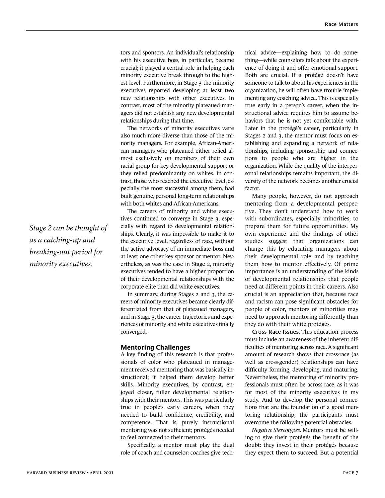tors and sponsors. An individual's relationship with his executive boss, in particular, became crucial; it played a central role in helping each minority executive break through to the highest level. Furthermore, in Stage 3 the minority executives reported developing at least two new relationships with other executives. In contrast, most of the minority plateaued managers did not establish any new developmental relationships during that time.

The networks of minority executives were also much more diverse than those of the minority managers. For example, African-American managers who plateaued either relied almost exclusively on members of their own racial group for key developmental support or they relied predominantly on whites. In contrast, those who reached the executive level, especially the most successful among them, had built genuine, personal long-term relationships with both whites and African-Americans.

The careers of minority and white executives continued to converge in Stage 3, especially with regard to developmental relationships. Clearly, it was impossible to make it to the executive level, regardless of race, without the active advocacy of an immediate boss and at least one other key sponsor or mentor. Nevertheless, as was the case in Stage 2, minority executives tended to have a higher proportion of their developmental relationships with the corporate elite than did white executives.

In summary, during Stages 2 and 3, the careers of minority executives became clearly differentiated from that of plateaued managers, and in Stage 3, the career trajectories and experiences of minority and white executives finally converged.

#### **Mentoring Challenges**

A key finding of this research is that professionals of color who plateaued in management received mentoring that was basically instructional; it helped them develop better skills. Minority executives, by contrast, enjoyed closer, fuller developmental relationships with their mentors. This was particularly true in people's early careers, when they needed to build confidence, credibility, and competence. That is, purely instructional mentoring was not sufficient; protégés needed to feel connected to their mentors.

Specifically, a mentor must play the dual role of coach and counselor: coaches give technical advice—explaining how to do something—while counselors talk about the experience of doing it and offer emotional support. Both are crucial. If a protégé doesn't have someone to talk to about his experiences in the organization, he will often have trouble implementing any coaching advice. This is especially true early in a person's career, when the instructional advice requires him to assume behaviors that he is not yet comfortable with. Later in the protégé's career, particularly in Stages 2 and 3, the mentor must focus on establishing and expanding a network of relationships, including sponsorship and connections to people who are higher in the organization. While the quality of the interpersonal relationships remains important, the diversity of the network becomes another crucial factor.

Many people, however, do not approach mentoring from a developmental perspective. They don't understand how to work with subordinates, especially minorities, to prepare them for future opportunities. My own experience and the findings of other studies suggest that organizations can change this by educating managers about their developmental role and by teaching them how to mentor effectively. Of prime importance is an understanding of the kinds of developmental relationships that people need at different points in their careers. Also crucial is an appreciation that, because race and racism can pose significant obstacles for people of color, mentors of minorities may need to approach mentoring differently than they do with their white protégés.

**Cross-Race Issues.** This education process must include an awareness of the inherent difficulties of mentoring across race. A significant amount of research shows that cross-race (as well as cross-gender) relationships can have difficulty forming, developing, and maturing. Nevertheless, the mentoring of minority professionals must often be across race, as it was for most of the minority executives in my study. And to develop the personal connections that are the foundation of a good mentoring relationship, the participants must overcome the following potential obstacles.

*Negative Stereotypes.* Mentors must be willing to give their protégés the benefit of the doubt: they invest in their protégés because they expect them to succeed. But a potential

*Stage 2 can be thought of as a catching-up and breaking-out period for minority executives.*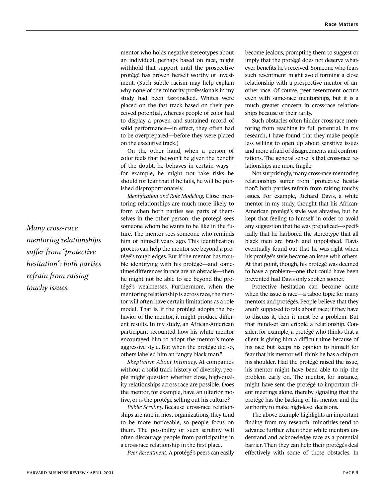mentor who holds negative stereotypes about an individual, perhaps based on race, might withhold that support until the prospective protégé has proven herself worthy of investment. (Such subtle racism may help explain why none of the minority professionals in my study had been fast-tracked. Whites were placed on the fast track based on their perceived potential, whereas people of color had to display a proven and sustained record of solid performance—in effect, they often had to be overprepared—before they were placed on the executive track.)

On the other hand, when a person of color feels that he won't be given the benefit of the doubt, he behaves in certain ways for example, he might not take risks he should for fear that if he fails, he will be punished disproportionately.

*Identification and Role Modeling.* Close mentoring relationships are much more likely to form when both parties see parts of themselves in the other person: the protégé sees someone whom he wants to be like in the future. The mentor sees someone who reminds him of himself years ago. This identification process can help the mentor see beyond a protégé's rough edges. But if the mentor has trouble identifying with his protégé—and sometimes differences in race are an obstacle—then he might not be able to see beyond the protégé's weaknesses. Furthermore, when the mentoring relationship is across race, the mentor will often have certain limitations as a role model. That is, if the protégé adopts the behavior of the mentor, it might produce different results. In my study, an African-American participant recounted how his white mentor encouraged him to adopt the mentor's more aggressive style. But when the protégé did so, others labeled him an "angry black man."

*Skepticism About Intimacy.* At companies without a solid track history of diversity, people might question whether close, high-quality relationships across race are possible. Does the mentor, for example, have an ulterior motive, or is the protégé selling out his culture?

*Public Scrutiny.* Because cross-race relationships are rare in most organizations, they tend to be more noticeable, so people focus on them. The possibility of such scrutiny will often discourage people from participating in a cross-race relationship in the first place.

*Peer Resentment.* A protégé's peers can easily

become jealous, prompting them to suggest or imply that the protégé does not deserve whatever benefits he's received. Someone who fears such resentment might avoid forming a close relationship with a prospective mentor of another race. Of course, peer resentment occurs even with same-race mentorships, but it is a much greater concern in cross-race relationships because of their rarity.

Such obstacles often hinder cross-race mentoring from reaching its full potential. In my research, I have found that they make people less willing to open up about sensitive issues and more afraid of disagreements and confrontations. The general sense is that cross-race relationships are more fragile.

Not surprisingly, many cross-race mentoring relationships suffer from "protective hesitation": both parties refrain from raising touchy issues. For example, Richard Davis, a white mentor in my study, thought that his African-American protégé's style was abrasive, but he kept that feeling to himself in order to avoid any suggestion that he was prejudiced—specifically that he harbored the stereotype that all black men are brash and unpolished. Davis eventually found out that he was right when his protégé's style became an issue with others. At that point, though, his protégé was deemed to have a problem—one that could have been prevented had Davis only spoken sooner.

Protective hesitation can become acute when the issue is race—a taboo topic for many mentors and protégés. People believe that they aren't supposed to talk about race; if they have to discuss it, then it must be a problem. But that mind-set can cripple a relationship. Consider, for example, a protégé who thinks that a client is giving him a difficult time because of his race but keeps his opinion to himself for fear that his mentor will think he has a chip on his shoulder. Had the protégé raised the issue, his mentor might have been able to nip the problem early on. The mentor, for instance, might have sent the protégé to important client meetings alone, thereby signaling that the protégé has the backing of his mentor and the authority to make high-level decisions.

The above example highlights an important finding from my research: minorities tend to advance further when their white mentors understand and acknowledge race as a potential barrier. Then they can help their protégés deal effectively with some of those obstacles. In

*Many cross-race mentoring relationships suffer from "protective hesitation": both parties refrain from raising touchy issues.*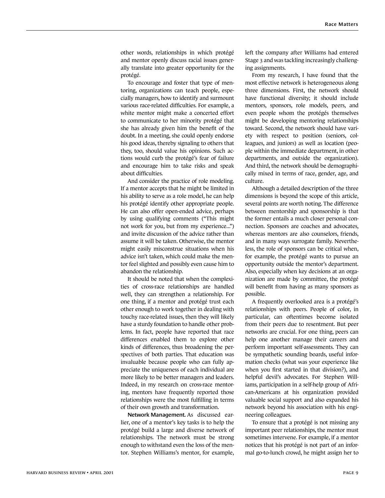other words, relationships in which protégé and mentor openly discuss racial issues generally translate into greater opportunity for the protégé.

To encourage and foster that type of mentoring, organizations can teach people, especially managers, how to identify and surmount various race-related difficulties. For example, a white mentor might make a concerted effort to communicate to her minority protégé that she has already given him the benefit of the doubt. In a meeting, she could openly endorse his good ideas, thereby signaling to others that they, too, should value his opinions. Such actions would curb the protégé's fear of failure and encourage him to take risks and speak about difficulties.

And consider the practice of role modeling. If a mentor accepts that he might be limited in his ability to serve as a role model, he can help his protégé identify other appropriate people. He can also offer open-ended advice, perhaps by using qualifying comments ("This might not work for you, but from my experience...") and invite discussion of the advice rather than assume it will be taken. Otherwise, the mentor might easily misconstrue situations when his advice isn't taken, which could make the mentor feel slighted and possibly even cause him to abandon the relationship.

It should be noted that when the complexities of cross-race relationships are handled well, they can strengthen a relationship. For one thing, if a mentor and protégé trust each other enough to work together in dealing with touchy race-related issues, then they will likely have a sturdy foundation to handle other problems. In fact, people have reported that race differences enabled them to explore other kinds of differences, thus broadening the perspectives of both parties. That education was invaluable because people who can fully appreciate the uniqueness of each individual are more likely to be better managers and leaders. Indeed, in my research on cross-race mentoring, mentors have frequently reported those relationships were the most fulfilling in terms of their own growth and transformation.

**Network Management.** As discussed earlier, one of a mentor's key tasks is to help the protégé build a large and diverse network of relationships. The network must be strong enough to withstand even the loss of the mentor. Stephen Williams's mentor, for example,

left the company after Williams had entered Stage 3 and was tackling increasingly challenging assignments.

From my research, I have found that the most effective network is heterogeneous along three dimensions. First, the network should have functional diversity; it should include mentors, sponsors, role models, peers, and even people whom the protégés themselves might be developing mentoring relationships toward. Second, the network should have variety with respect to position (seniors, colleagues, and juniors) as well as location (people within the immediate department, in other departments, and outside the organization). And third, the network should be demographically mixed in terms of race, gender, age, and culture.

Although a detailed description of the three dimensions is beyond the scope of this article, several points are worth noting. The difference between mentorship and sponsorship is that the former entails a much closer personal connection. Sponsors are coaches and advocates, whereas mentors are also counselors, friends, and in many ways surrogate family. Nevertheless, the role of sponsors can be critical when, for example, the protégé wants to pursue an opportunity outside the mentor's department. Also, especially when key decisions at an organization are made by committee, the protégé will benefit from having as many sponsors as possible.

A frequently overlooked area is a protégé's relationships with peers. People of color, in particular, can oftentimes become isolated from their peers due to resentment. But peer networks are crucial. For one thing, peers can help one another manage their careers and perform important self-assessments. They can be sympathetic sounding boards, useful information checks (what was your experience like when you first started in that division?), and helpful devil's advocates. For Stephen Williams, participation in a self-help group of African-Americans at his organization provided valuable social support and also expanded his network beyond his association with his engineering colleagues.

To ensure that a protégé is not missing any important peer relationships, the mentor must sometimes intervene. For example, if a mentor notices that his protégé is not part of an informal go-to-lunch crowd, he might assign her to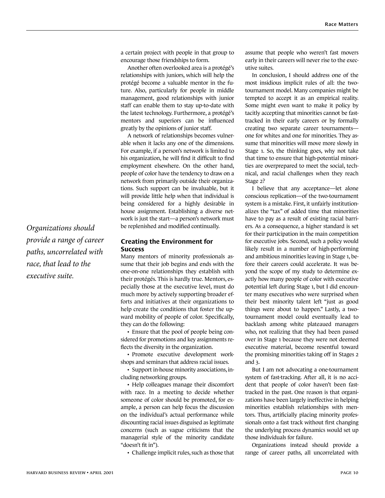a certain project with people in that group to encourage those friendships to form.

Another often overlooked area is a protégé's relationships with juniors, which will help the protégé become a valuable mentor in the future. Also, particularly for people in middle management, good relationships with junior staff can enable them to stay up-to-date with the latest technology. Furthermore, a protégé's mentors and superiors can be influenced greatly by the opinions of junior staff.

A network of relationships becomes vulnerable when it lacks any one of the dimensions. For example, if a person's network is limited to his organization, he will find it difficult to find employment elsewhere. On the other hand, people of color have the tendency to draw on a network from primarily outside their organizations. Such support can be invaluable, but it will provide little help when that individual is being considered for a highly desirable in house assignment. Establishing a diverse network is just the start—a person's network must be replenished and modified continually.

### **Creating the Environment for Success**

Many mentors of minority professionals assume that their job begins and ends with the one-on-one relationships they establish with their protégés. This is hardly true. Mentors, especially those at the executive level, must do much more by actively supporting broader efforts and initiatives at their organizations to help create the conditions that foster the upward mobility of people of color. Specifically, they can do the following:

• Ensure that the pool of people being considered for promotions and key assignments reflects the diversity in the organization.

• Promote executive development workshops and seminars that address racial issues.

• Support in-house minority associations, including networking groups.

• Help colleagues manage their discomfort with race. In a meeting to decide whether someone of color should be promoted, for example, a person can help focus the discussion on the individual's actual performance while discounting racial issues disguised as legitimate concerns (such as vague criticisms that the managerial style of the minority candidate "doesn't fit in").

• Challenge implicit rules, such as those that

assume that people who weren't fast movers early in their careers will never rise to the executive suites.

In conclusion, I should address one of the most insidious implicit rules of all: the twotournament model. Many companies might be tempted to accept it as an empirical reality. Some might even want to make it policy by tacitly accepting that minorities cannot be fasttracked in their early careers or by formally creating two separate career tournaments one for whites and one for minorities. They assume that minorities will move more slowly in Stage 1. So, the thinking goes, why not take that time to ensure that high-potential minorities are overprepared to meet the social, technical, and racial challenges when they reach Stage 2?

I believe that any acceptance—let alone conscious replication—of the two-tournament system is a mistake. First, it unfairly institutionalizes the "tax" of added time that minorities have to pay as a result of existing racial barriers. As a consequence, a higher standard is set for their participation in the main competition for executive jobs. Second, such a policy would likely result in a number of high-performing and ambitious minorities leaving in Stage 1, before their careers could accelerate. It was beyond the scope of my study to determine exactly how many people of color with executive potential left during Stage 1, but I did encounter many executives who were surprised when their best minority talent left "just as good things were about to happen." Lastly, a twotournament model could eventually lead to backlash among white plateaued managers who, not realizing that they had been passed over in Stage 1 because they were not deemed executive material, become resentful toward the promising minorities taking off in Stages 2 and 3.

But I am not advocating a one-tournament system of fast-tracking. After all, it is no accident that people of color haven't been fasttracked in the past. One reason is that organizations have been largely ineffective in helping minorities establish relationships with mentors. Thus, artificially placing minority professionals onto a fast track without first changing the underlying process dynamics would set up those individuals for failure.

Organizations instead should provide a range of career paths, all uncorrelated with

*Organizations should provide a range of career paths, uncorrelated with race, that lead to the executive suite.*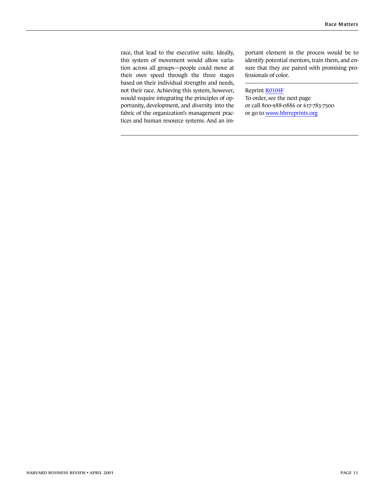race, that lead to the executive suite. Ideally, this system of movement would allow variation across all groups—people could move at their own speed through the three stages based on their individual strengths and needs, not their race. Achieving this system, however, would require integrating the principles of opportunity, development, and diversity into the fabric of the organization's management practices and human resource systems. And an important element in the process would be to identify potential mentors, train them, and ensure that they are paired with promising professionals of color.

### Reprint [R0104F](http://harvardbusinessonline.hbsp.harvard.edu/relay.jhtml?name=itemdetail&referral=4320&id=R0104F)

To order, see the next page or call 800-988-0886 or 617-783-7500 or go to [www.hbrreprints.org](http://www.hbrreprints.org)